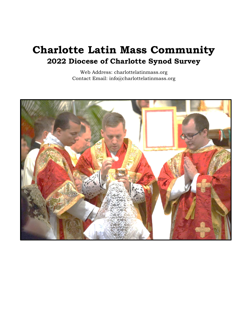# Charlotte Latin Mass Community 2022 Diocese of Charlotte Synod Survey

Web Address: charlottelatinmass.org Contact Email: info@charlottelatinmass.org

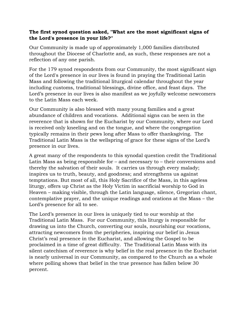#### The first synod question asked, "What are the most significant signs of the Lord's presence in your life?"

Our Community is made up of approximately 1,000 families distributed throughout the Diocese of Charlotte and, as such, these responses are not a reflection of any one parish.

For the 179 synod respondents from our Community, the most significant sign of the Lord's presence in our lives is found in praying the Traditional Latin Mass and following the traditional liturgical calendar throughout the year including customs, traditional blessings, divine office, and feast days. The Lord's presence in our lives is also manifest as we joyfully welcome newcomers to the Latin Mass each week.

Our Community is also blessed with many young families and a great abundance of children and vocations. Additional signs can be seen in the reverence that is shown for the Eucharist by our Community, where our Lord is received only kneeling and on the tongue, and where the congregation typically remains in their pews long after Mass to offer thanksgiving. The Traditional Latin Mass is the wellspring of grace for these signs of the Lord's presence in our lives.

A great many of the respondents to this synodal question credit the Traditional Latin Mass as being responsible for – and necessary to – their conversions and thereby the salvation of their souls. It carries us through every malady; inspires us to truth, beauty, and goodness; and strengthens us against temptations. But most of all, this Holy Sacrifice of the Mass, in this ageless liturgy, offers up Christ as the Holy Victim in sacrificial worship to God in Heaven – making visible, through the Latin language, silence, Gregorian chant, contemplative prayer, and the unique readings and orations at the Mass – the Lord's presence for all to see.

The Lord's presence in our lives is uniquely tied to our worship at the Traditional Latin Mass. For our Community, this liturgy is responsible for drawing us into the Church, converting our souls, nourishing our vocations, attracting newcomers from the peripheries, inspiring our belief in Jesus Christ's real presence in the Eucharist, and allowing the Gospel to be proclaimed in a time of great difficulty. The Traditional Latin Mass with its silent catechism of reverence is why belief in the real presence in the Eucharist is nearly universal in our Community, as compared to the Church as a whole where polling shows that belief in the true presence has fallen below 30 percent.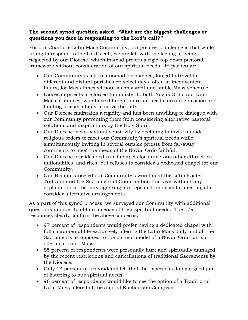#### The second synod question asked, "What are the biggest challenges or questions you face in responding to the Lord's call?"

For our Charlotte Latin Mass Community, our greatest challenge is that while trying to respond to the Lord's call, we are left with the feeling of being neglected by our Diocese, which instead prefers a rigid top-down pastoral framework without consideration of our spiritual needs. In particular:

- Our Community is left to a nomadic existence, forced to travel to different and distant parishes on select days, often at inconvenient hours, for Mass times without a consistent and stable Mass schedule.
- Diocesan priests are forced to minister to both Novus Ordo and Latin Mass attendees, who have different spiritual needs, creating division and limiting priests' ability to serve the laity.
- Our Diocese maintains a rigidity and has been unwilling to dialogue with our Community preventing them from considering alternative pastoral solutions and inspirations by the Holy Spirit.
- Our Diocese lacks pastoral sensitivity by declining to invite outside religious orders to meet our Community's spiritual needs while simultaneously inviting in several outside priests from far-away continents to meet the needs of the Novus Ordo faithful.
- Our Diocese provides dedicated chapels for numerous other ethnicities, nationalities, and rites, but refuses to consider a dedicated chapel for our Community.
- Our Bishop canceled our Community's worship at the Latin Easter Triduum and the Sacrament of Confirmation this year without any explanation to the laity; ignoring our repeated requests for meetings to consider alternative arrangements.

As a part of this synod process, we surveyed our Community with additional questions in order to obtain a sense of their spiritual needs. The 179 responses clearly confirm the above concerns:

- 97 percent of respondents would prefer having a dedicated chapel with full sacramental life exclusively offering the Latin Mass daily and all the Sacraments as opposed to the current model of a Novus Ordo parish offering a Latin Mass.
- 85 percent of respondents were personally hurt and spiritually damaged by the recent restrictions and cancellations of traditional Sacraments by the Diocese.
- Only 13 percent of respondents felt that the Diocese is doing a good job of listening to our spiritual needs.
- 96 percent of respondents would like to see the option of a Traditional Latin Mass offered at the annual Eucharistic Congress.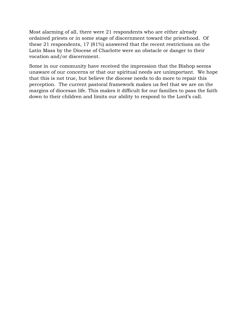Most alarming of all, there were 21 respondents who are either already ordained priests or in some stage of discernment toward the priesthood. Of these 21 respondents, 17 (81%) answered that the recent restrictions on the Latin Mass by the Diocese of Charlotte were an obstacle or danger to their vocation and/or discernment.

Some in our community have received the impression that the Bishop seems unaware of our concerns or that our spiritual needs are unimportant. We hope that this is not true, but believe the diocese needs to do more to repair this perception. The current pastoral framework makes us feel that we are on the margins of diocesan life. This makes it difficult for our families to pass the faith down to their children and limits our ability to respond to the Lord's call.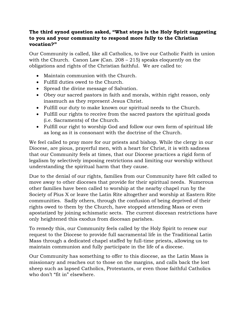### The third synod question asked, "What steps is the Holy Spirit suggesting to you and your community to respond more fully to the Christian vocation?"

Our Community is called, like all Catholics, to live our Catholic Faith in union with the Church. Canon Law (Can. 208 – 215) speaks eloquently on the obligations and rights of the Christian faithful. We are called to:

- Maintain communion with the Church.
- Fulfill duties owed to the Church.
- Spread the divine message of Salvation.
- Obey our sacred pastors in faith and morals, within right reason, only inasmuch as they represent Jesus Christ.
- Fulfill our duty to make known our spiritual needs to the Church.
- Fulfill our rights to receive from the sacred pastors the spiritual goods (i.e. Sacraments) of the Church.
- Fulfill our right to worship God and follow our own form of spiritual life as long as it is consonant with the doctrine of the Church.

We feel called to pray more for our priests and bishop. While the clergy in our Diocese, are pious, prayerful men, with a heart for Christ, it is with sadness that our Community feels at times, that our Diocese practices a rigid form of legalism by selectively imposing restrictions and limiting our worship without understanding the spiritual harm that they cause.

Due to the denial of our rights, families from our Community have felt called to move away to other dioceses that provide for their spiritual needs. Numerous other families have been called to worship at the nearby chapel run by the Society of Pius X or leave the Latin Rite altogether and worship at Eastern Rite communities. Sadly others, through the confusion of being deprived of their rights owed to them by the Church, have stopped attending Mass or even apostatized by joining schismatic sects. The current diocesan restrictions have only heightened this exodus from diocesan parishes.

To remedy this, our Community feels called by the Holy Spirit to renew our request to the Diocese to provide full sacramental life in the Traditional Latin Mass through a dedicated chapel staffed by full-time priests, allowing us to maintain communion and fully participate in the life of a diocese.

Our Community has something to offer to this diocese, as the Latin Mass is missionary and reaches out to those on the margins, and calls back the lost sheep such as lapsed Catholics, Protestants, or even those faithful Catholics who don't "fit in" elsewhere.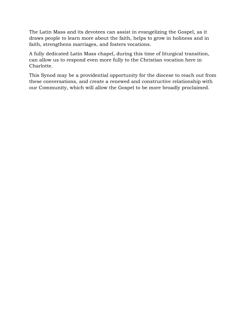The Latin Mass and its devotees can assist in evangelizing the Gospel, as it draws people to learn more about the faith, helps to grow in holiness and in faith, strengthens marriages, and fosters vocations.

A fully dedicated Latin Mass chapel, during this time of liturgical transition, can allow us to respond even more fully to the Christian vocation here in Charlotte.

This Synod may be a providential opportunity for the diocese to reach out from these conversations, and create a renewed and constructive relationship with our Community, which will allow the Gospel to be more broadly proclaimed.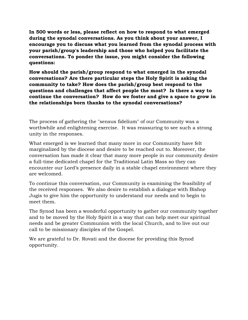In 500 words or less, please reflect on how to respond to what emerged during the synodal conversations. As you think about your answer, I encourage you to discuss what you learned from the synodal process with your parish/group's leadership and those who helped you facilitate the conversations. To ponder the issue, you might consider the following questions:

How should the parish/group respond to what emerged in the synodal conversations? Are there particular steps the Holy Spirit is asking the community to take? How does the parish/group best respond to the questions and challenges that affect people the most? Is there a way to continue the conversation? How do we foster and give a space to grow in the relationships born thanks to the synodal conversations?

The process of gathering the "sensus fidelium" of our Community was a worthwhile and enlightening exercise. It was reassuring to see such a strong unity in the responses.

What emerged is we learned that many more in our Community have felt marginalized by the diocese and desire to be reached out to. Moreover, the conversation has made it clear that many more people in our community desire a full-time dedicated chapel for the Traditional Latin Mass so they can encounter our Lord's presence daily in a stable chapel environment where they are welcomed.

To continue this conversation, our Community is examining the feasibility of the received responses. We also desire to establish a dialogue with Bishop Jugis to give him the opportunity to understand our needs and to begin to meet them.

The Synod has been a wonderful opportunity to gather our community together and to be moved by the Holy Spirit in a way that can help meet our spiritual needs and be greater Communion with the local Church, and to live out our call to be missionary disciples of the Gospel.

We are grateful to Dr. Rovati and the diocese for providing this Synod opportunity.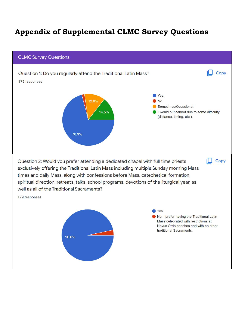## Appendix of Supplemental CLMC Survey Questions

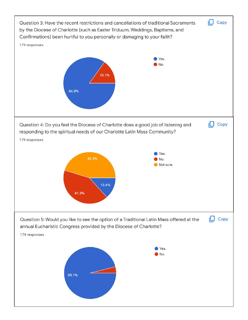